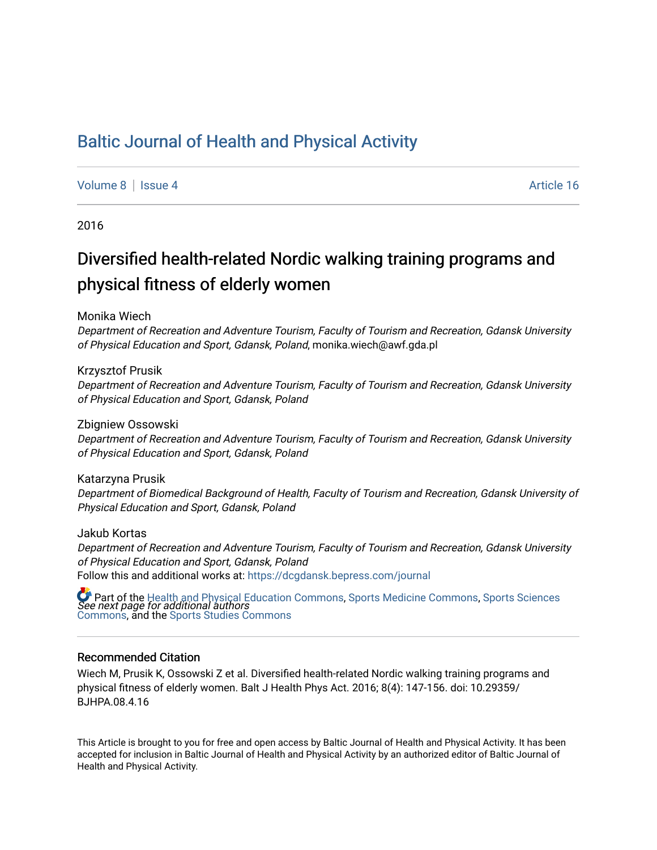## [Baltic Journal of Health and Physical Activity](https://dcgdansk.bepress.com/journal)

#### [Volume 8](https://dcgdansk.bepress.com/journal/vol8) | [Issue 4](https://dcgdansk.bepress.com/journal/vol8/iss4) Article 16

2016

# Diversified health-related Nordic walking training programs and physical fitness of elderly women

Monika Wiech

Department of Recreation and Adventure Tourism, Faculty of Tourism and Recreation, Gdansk University of Physical Education and Sport, Gdansk, Poland, monika.wiech@awf.gda.pl

Krzysztof Prusik

Department of Recreation and Adventure Tourism, Faculty of Tourism and Recreation, Gdansk University of Physical Education and Sport, Gdansk, Poland

Zbigniew Ossowski

Department of Recreation and Adventure Tourism, Faculty of Tourism and Recreation, Gdansk University of Physical Education and Sport, Gdansk, Poland

Katarzyna Prusik

Department of Biomedical Background of Health, Faculty of Tourism and Recreation, Gdansk University of Physical Education and Sport, Gdansk, Poland

Jakub Kortas

Department of Recreation and Adventure Tourism, Faculty of Tourism and Recreation, Gdansk University of Physical Education and Sport, Gdansk, Poland Follow this and additional works at: [https://dcgdansk.bepress.com/journal](https://dcgdansk.bepress.com/journal?utm_source=dcgdansk.bepress.com%2Fjournal%2Fvol8%2Fiss4%2F16&utm_medium=PDF&utm_campaign=PDFCoverPages)

 $\bullet$  Part of the [Health and Physical Education Commons](http://network.bepress.com/hgg/discipline/1327?utm_source=dcgdansk.bepress.com%2Fjournal%2Fvol8%2Fiss4%2F16&utm_medium=PDF&utm_campaign=PDFCoverPages), [Sports Medicine Commons,](http://network.bepress.com/hgg/discipline/1331?utm_source=dcgdansk.bepress.com%2Fjournal%2Fvol8%2Fiss4%2F16&utm_medium=PDF&utm_campaign=PDFCoverPages) [Sports Sciences](http://network.bepress.com/hgg/discipline/759?utm_source=dcgdansk.bepress.com%2Fjournal%2Fvol8%2Fiss4%2F16&utm_medium=PDF&utm_campaign=PDFCoverPages)<br>*See next page for additional authors* [Commons](http://network.bepress.com/hgg/discipline/759?utm_source=dcgdansk.bepress.com%2Fjournal%2Fvol8%2Fiss4%2F16&utm_medium=PDF&utm_campaign=PDFCoverPages), and the [Sports Studies Commons](http://network.bepress.com/hgg/discipline/1198?utm_source=dcgdansk.bepress.com%2Fjournal%2Fvol8%2Fiss4%2F16&utm_medium=PDF&utm_campaign=PDFCoverPages) 

#### Recommended Citation

Wiech M, Prusik K, Ossowski Z et al. Diversified health-related Nordic walking training programs and physical fitness of elderly women. Balt J Health Phys Act. 2016; 8(4): 147-156. doi: 10.29359/ BJHPA.08.4.16

This Article is brought to you for free and open access by Baltic Journal of Health and Physical Activity. It has been accepted for inclusion in Baltic Journal of Health and Physical Activity by an authorized editor of Baltic Journal of Health and Physical Activity.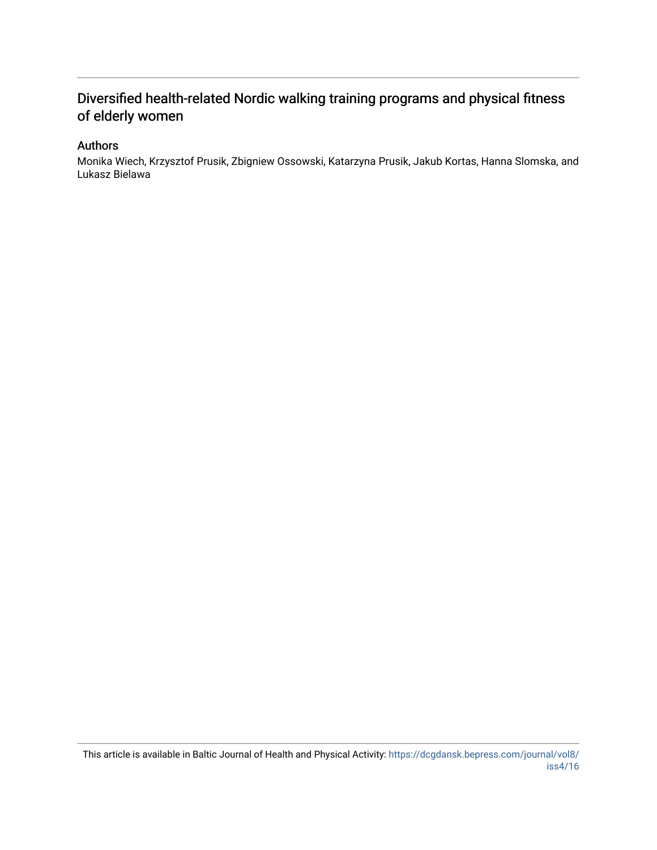## Diversified health-related Nordic walking training programs and physical fitness of elderly women

#### Authors

Monika Wiech, Krzysztof Prusik, Zbigniew Ossowski, Katarzyna Prusik, Jakub Kortas, Hanna Slomska, and Lukasz Bielawa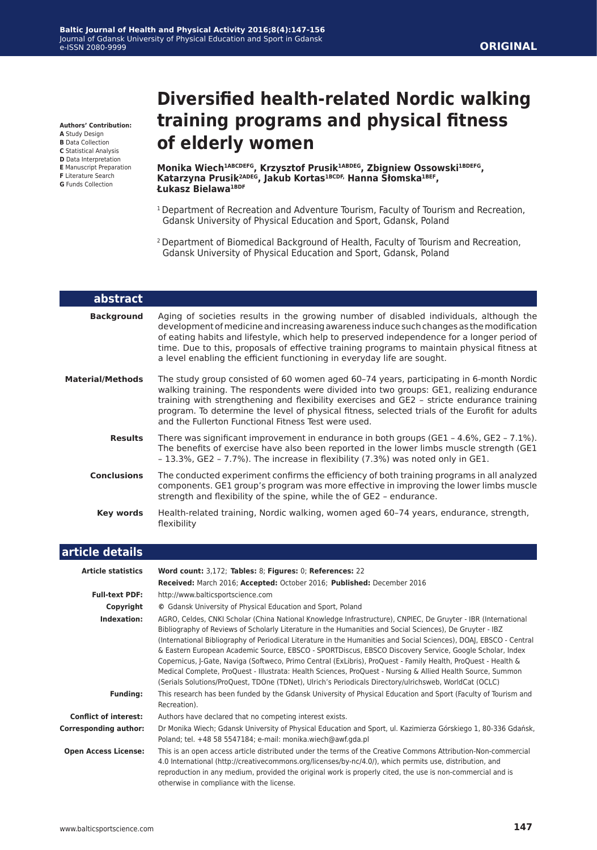**Authors' Contribution:**

- **A** Study Design
- **B** Data Collection **C** Statistical Analysis
- **D** Data Interpretation
- **E** Manuscript Preparation
- **F** Literature Search
- **G** Funds Collection

L

# **Diversified health-related Nordic walking training programs and physical fitness of elderly women**

**Monika Wiech1ABCDEFG, Krzysztof Prusik1ABDEG, Zbigniew Ossowski1BDEFG, Katarzyna Prusik2ADEG, Jakub Kortas1BCDF, Hanna Słomska1BEF, Łukasz Bielawa1BDF**

- <sup>1</sup> Department of Recreation and Adventure Tourism, Faculty of Tourism and Recreation, Gdansk University of Physical Education and Sport, Gdansk, Poland
- 2 Department of Biomedical Background of Health, Faculty of Tourism and Recreation, Gdansk University of Physical Education and Sport, Gdansk, Poland

| abstract                |                                                                                                                                                                                                                                                                                                                                                                                                                                                             |
|-------------------------|-------------------------------------------------------------------------------------------------------------------------------------------------------------------------------------------------------------------------------------------------------------------------------------------------------------------------------------------------------------------------------------------------------------------------------------------------------------|
| <b>Background</b>       | Aging of societies results in the growing number of disabled individuals, although the<br>development of medicine and increasing awareness induce such changes as the modification<br>of eating habits and lifestyle, which help to preserved independence for a longer period of<br>time. Due to this, proposals of effective training programs to maintain physical fitness at<br>a level enabling the efficient functioning in everyday life are sought. |
| <b>Material/Methods</b> | The study group consisted of 60 women aged 60-74 years, participating in 6-month Nordic<br>walking training. The respondents were divided into two groups: GE1, realizing endurance<br>training with strengthening and flexibility exercises and GE2 - stricte endurance training<br>program. To determine the level of physical fitness, selected trials of the Eurofit for adults<br>and the Fullerton Functional Fitness Test were used.                 |
| <b>Results</b>          | There was significant improvement in endurance in both groups (GE1 - 4.6%, GE2 - 7.1%).<br>The benefits of exercise have also been reported in the lower limbs muscle strength (GE1<br>- 13.3%, GE2 - 7.7%). The increase in flexibility (7.3%) was noted only in GE1.                                                                                                                                                                                      |
| <b>Conclusions</b>      | The conducted experiment confirms the efficiency of both training programs in all analyzed<br>components. GE1 group's program was more effective in improving the lower limbs muscle<br>strength and flexibility of the spine, while the of GE2 - endurance.                                                                                                                                                                                                |
| Key words               | Health-related training, Nordic walking, women aged 60-74 years, endurance, strength,<br>flexibility                                                                                                                                                                                                                                                                                                                                                        |
| وسالا والمساوي والمرابط |                                                                                                                                                                                                                                                                                                                                                                                                                                                             |

| article details              |                                                                                                                                                                                                                                                                                                                                                                                                                                                                                                                                                                                                                                                                                                                                                                                                      |
|------------------------------|------------------------------------------------------------------------------------------------------------------------------------------------------------------------------------------------------------------------------------------------------------------------------------------------------------------------------------------------------------------------------------------------------------------------------------------------------------------------------------------------------------------------------------------------------------------------------------------------------------------------------------------------------------------------------------------------------------------------------------------------------------------------------------------------------|
| <b>Article statistics</b>    | Word count: 3,172; Tables: 8; Figures: 0; References: 22                                                                                                                                                                                                                                                                                                                                                                                                                                                                                                                                                                                                                                                                                                                                             |
|                              | Received: March 2016; Accepted: October 2016; Published: December 2016                                                                                                                                                                                                                                                                                                                                                                                                                                                                                                                                                                                                                                                                                                                               |
| <b>Full-text PDF:</b>        | http://www.balticsportscience.com                                                                                                                                                                                                                                                                                                                                                                                                                                                                                                                                                                                                                                                                                                                                                                    |
| Copyright                    | © Gdansk University of Physical Education and Sport, Poland                                                                                                                                                                                                                                                                                                                                                                                                                                                                                                                                                                                                                                                                                                                                          |
| Indexation:                  | AGRO, Celdes, CNKI Scholar (China National Knowledge Infrastructure), CNPIEC, De Gruyter - IBR (International<br>Bibliography of Reviews of Scholarly Literature in the Humanities and Social Sciences), De Gruyter - IBZ<br>(International Bibliography of Periodical Literature in the Humanities and Social Sciences), DOAJ, EBSCO - Central<br>& Eastern European Academic Source, EBSCO - SPORTDiscus, EBSCO Discovery Service, Google Scholar, Index<br>Copernicus, J-Gate, Naviga (Softweco, Primo Central (ExLibris), ProQuest - Family Health, ProQuest - Health &<br>Medical Complete, ProQuest - Illustrata: Health Sciences, ProQuest - Nursing & Allied Health Source, Summon<br>(Serials Solutions/ProQuest, TDOne (TDNet), Ulrich's Periodicals Directory/ulrichsweb, WorldCat (OCLC) |
| <b>Funding:</b>              | This research has been funded by the Gdansk University of Physical Education and Sport (Faculty of Tourism and<br>Recreation).                                                                                                                                                                                                                                                                                                                                                                                                                                                                                                                                                                                                                                                                       |
| <b>Conflict of interest:</b> | Authors have declared that no competing interest exists.                                                                                                                                                                                                                                                                                                                                                                                                                                                                                                                                                                                                                                                                                                                                             |
| <b>Corresponding author:</b> | Dr Monika Wiech; Gdansk University of Physical Education and Sport, ul. Kazimierza Górskiego 1, 80-336 Gdańsk,<br>Poland; tel. +48 58 5547184; e-mail: monika.wiech@awf.gda.pl                                                                                                                                                                                                                                                                                                                                                                                                                                                                                                                                                                                                                       |
| <b>Open Access License:</b>  | This is an open access article distributed under the terms of the Creative Commons Attribution-Non-commercial<br>4.0 International (http://creativecommons.org/licenses/by-nc/4.0/), which permits use, distribution, and<br>reproduction in any medium, provided the original work is properly cited, the use is non-commercial and is<br>otherwise in compliance with the license.                                                                                                                                                                                                                                                                                                                                                                                                                 |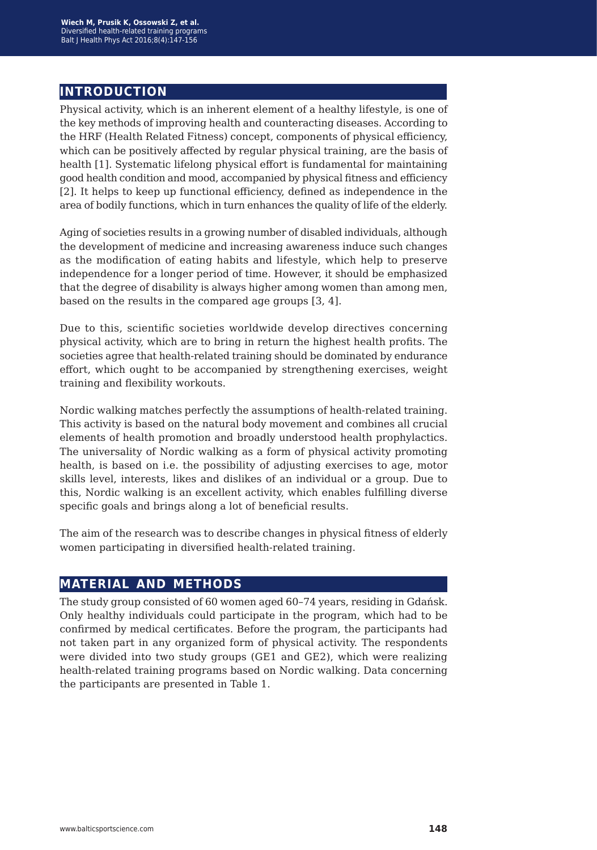### **introduction**

Physical activity, which is an inherent element of a healthy lifestyle, is one of the key methods of improving health and counteracting diseases. According to the HRF (Health Related Fitness) concept, components of physical efficiency, which can be positively affected by regular physical training, are the basis of health [1]. Systematic lifelong physical effort is fundamental for maintaining good health condition and mood, accompanied by physical fitness and efficiency [2]. It helps to keep up functional efficiency, defined as independence in the area of bodily functions, which in turn enhances the quality of life of the elderly.

Aging of societies results in a growing number of disabled individuals, although the development of medicine and increasing awareness induce such changes as the modification of eating habits and lifestyle, which help to preserve independence for a longer period of time. However, it should be emphasized that the degree of disability is always higher among women than among men, based on the results in the compared age groups [3, 4].

Due to this, scientific societies worldwide develop directives concerning physical activity, which are to bring in return the highest health profits. The societies agree that health-related training should be dominated by endurance effort, which ought to be accompanied by strengthening exercises, weight training and flexibility workouts.

Nordic walking matches perfectly the assumptions of health-related training. This activity is based on the natural body movement and combines all crucial elements of health promotion and broadly understood health prophylactics. The universality of Nordic walking as a form of physical activity promoting health, is based on i.e. the possibility of adjusting exercises to age, motor skills level, interests, likes and dislikes of an individual or a group. Due to this, Nordic walking is an excellent activity, which enables fulfilling diverse specific goals and brings along a lot of beneficial results.

The aim of the research was to describe changes in physical fitness of elderly women participating in diversified health-related training.

#### **material and methods**

The study group consisted of 60 women aged 60–74 years, residing in Gdańsk. Only healthy individuals could participate in the program, which had to be confirmed by medical certificates. Before the program, the participants had not taken part in any organized form of physical activity. The respondents were divided into two study groups (GE1 and GE2), which were realizing health-related training programs based on Nordic walking. Data concerning the participants are presented in Table 1.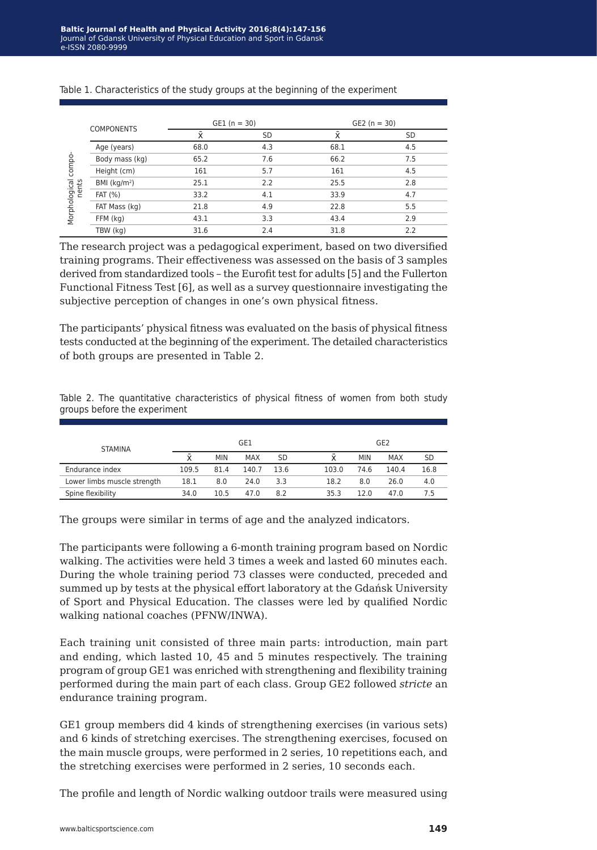|                 |                   | $GE1(n = 30)$ |           | $GE2 (n = 30)$ |     |
|-----------------|-------------------|---------------|-----------|----------------|-----|
|                 | <b>COMPONENTS</b> | x             | <b>SD</b> |                | SD  |
|                 | Age (years)       | 68.0          | 4.3       | 68.1           | 4.5 |
|                 | Body mass (kg)    | 65.2          | 7.6       | 66.2           | 7.5 |
| compo-<br>nents | Height (cm)       | 161           | 5.7       | 161            | 4.5 |
|                 | BMI $(kq/m2)$     | 25.1          | 2.2       | 25.5           | 2.8 |
| Morphological   | <b>FAT (%)</b>    | 33.2          | 4.1       | 33.9           | 4.7 |
|                 | FAT Mass (kg)     | 21.8          | 4.9       | 22.8           | 5.5 |
|                 | FFM (kg)          | 43.1          | 3.3       | 43.4           | 2.9 |
|                 | TBW (kg)          | 31.6          | 2.4       | 31.8           | 2.2 |

Table 1. Characteristics of the study groups at the beginning of the experiment

The research project was a pedagogical experiment, based on two diversified training programs. Their effectiveness was assessed on the basis of 3 samples derived from standardized tools – the Eurofit test for adults [5] and the Fullerton Functional Fitness Test [6], as well as a survey questionnaire investigating the subjective perception of changes in one's own physical fitness.

The participants' physical fitness was evaluated on the basis of physical fitness tests conducted at the beginning of the experiment. The detailed characteristics of both groups are presented in Table 2.

Table 2. The quantitative characteristics of physical fitness of women from both study groups before the experiment

| <b>STAMINA</b>              | GE1   |            |            |           |       | GE <sub>2</sub> |            |      |  |
|-----------------------------|-------|------------|------------|-----------|-------|-----------------|------------|------|--|
|                             |       | <b>MIN</b> | <b>MAX</b> | <b>SD</b> |       | <b>MIN</b>      | <b>MAX</b> | SD   |  |
| Endurance index             | 109.5 | 81.4       | 140.7      | 13.6      | 103.0 | 74.6            | 140.4      | 16.8 |  |
| Lower limbs muscle strength | 18.1  | 8.0        | 24.0       | 3.3       | 18.2  | 8.0             | 26.0       | 4.0  |  |
| Spine flexibility           | 34.0  | 10.5       | 47.0       | 8.2       | 35.3  | 12.0            | 47.0       | 7.5  |  |

The groups were similar in terms of age and the analyzed indicators.

The participants were following a 6-month training program based on Nordic walking. The activities were held 3 times a week and lasted 60 minutes each. During the whole training period 73 classes were conducted, preceded and summed up by tests at the physical effort laboratory at the Gdańsk University of Sport and Physical Education. The classes were led by qualified Nordic walking national coaches (PFNW/INWA).

Each training unit consisted of three main parts: introduction, main part and ending, which lasted 10, 45 and 5 minutes respectively. The training program of group GE1 was enriched with strengthening and flexibility training performed during the main part of each class. Group GE2 followed *stricte* an endurance training program.

GE1 group members did 4 kinds of strengthening exercises (in various sets) and 6 kinds of stretching exercises. The strengthening exercises, focused on the main muscle groups, were performed in 2 series, 10 repetitions each, and the stretching exercises were performed in 2 series, 10 seconds each.

The profile and length of Nordic walking outdoor trails were measured using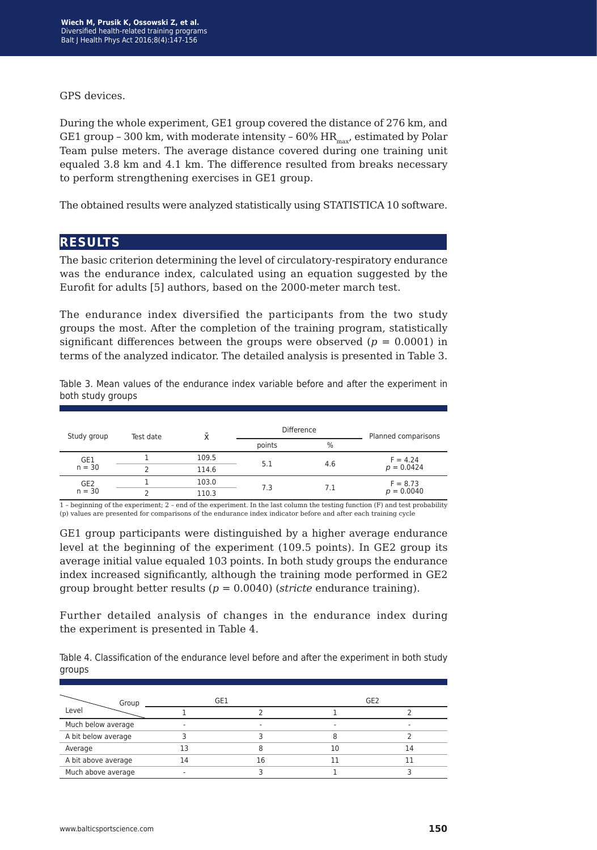GPS devices.

During the whole experiment, GE1 group covered the distance of 276 km, and GE1 group - 300 km, with moderate intensity -  $60\%$  HR<sub>max</sub>, estimated by Polar Team pulse meters. The average distance covered during one training unit equaled 3.8 km and 4.1 km. The difference resulted from breaks necessary to perform strengthening exercises in GE1 group.

The obtained results were analyzed statistically using STATISTICA 10 software.

#### **results**

The basic criterion determining the level of circulatory-respiratory endurance was the endurance index, calculated using an equation suggested by the Eurofit for adults [5] authors, based on the 2000-meter march test.

The endurance index diversified the participants from the two study groups the most. After the completion of the training program, statistically significant differences between the groups were observed  $(p = 0.0001)$  in terms of the analyzed indicator. The detailed analysis is presented in Table 3.

Table 3. Mean values of the endurance index variable before and after the experiment in both study groups

| Study group     | Test date | Ϋ́    | <b>Difference</b> |                   | Planned comparisons |
|-----------------|-----------|-------|-------------------|-------------------|---------------------|
|                 |           |       | points            | $\%$              |                     |
| GE1<br>$n = 30$ |           | 109.5 | 5.1               | $F = 4.24$<br>4.6 |                     |
|                 |           | 114.6 |                   |                   | $p = 0.0424$        |
| GE2             |           | 103.0 | 7.3               | 7.1               | $F = 8.73$          |
| $n = 30$        |           | 110.3 |                   |                   | $p = 0.0040$        |

1 – beginning of the experiment; 2 – end of the experiment. In the last column the testing function (F) and test probability (p) values are presented for comparisons of the endurance index indicator before and after each training cycle

GE1 group participants were distinguished by a higher average endurance level at the beginning of the experiment (109.5 points). In GE2 group its average initial value equaled 103 points. In both study groups the endurance index increased significantly, although the training mode performed in GE2 group brought better results (*p* = 0.0040) (*stricte* endurance training).

Further detailed analysis of changes in the endurance index during the experiment is presented in Table 4.

Table 4. Classification of the endurance level before and after the experiment in both study groups

| Group               | GE1 |    |    | GE <sub>2</sub> |
|---------------------|-----|----|----|-----------------|
| Level               |     |    |    |                 |
| Much below average  |     | ۰  | -  |                 |
| A bit below average |     |    |    |                 |
| Average             |     |    | 10 | 14              |
| A bit above average | L4  | 16 |    |                 |
| Much above average  |     |    |    |                 |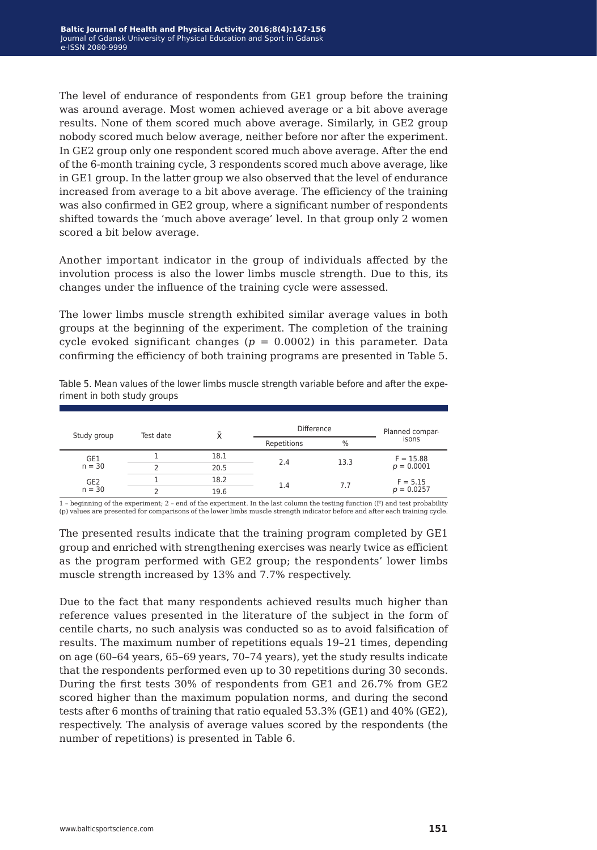The level of endurance of respondents from GE1 group before the training was around average. Most women achieved average or a bit above average results. None of them scored much above average. Similarly, in GE2 group nobody scored much below average, neither before nor after the experiment. In GE2 group only one respondent scored much above average. After the end of the 6-month training cycle, 3 respondents scored much above average, like in GE1 group. In the latter group we also observed that the level of endurance increased from average to a bit above average. The efficiency of the training was also confirmed in GE2 group, where a significant number of respondents shifted towards the 'much above average' level. In that group only 2 women scored a bit below average.

Another important indicator in the group of individuals affected by the involution process is also the lower limbs muscle strength. Due to this, its changes under the influence of the training cycle were assessed.

The lower limbs muscle strength exhibited similar average values in both groups at the beginning of the experiment. The completion of the training cycle evoked significant changes ( $p = 0.0002$ ) in this parameter. Data confirming the efficiency of both training programs are presented in Table 5.

| Study group     | Test date |      |             | <b>Difference</b> |              |              | Planned compar- |
|-----------------|-----------|------|-------------|-------------------|--------------|--------------|-----------------|
|                 |           |      | Repetitions | $\%$              | isons        |              |                 |
| GE1             |           | 18.1 |             | 13.3              | $F = 15.88$  |              |                 |
| $n = 30$        |           | 20.5 | 2.4         |                   |              | $p = 0.0001$ |                 |
| GE <sub>2</sub> |           | 18.2 | 1.4         | 7.7               | $F = 5.15$   |              |                 |
| $n = 30$        |           | 19.6 |             |                   | $p = 0.0257$ |              |                 |

Table 5. Mean values of the lower limbs muscle strength variable before and after the experiment in both study groups

1 – beginning of the experiment; 2 – end of the experiment. In the last column the testing function (F) and test probability (p) values are presented for comparisons of the lower limbs muscle strength indicator before and after each training cycle.

The presented results indicate that the training program completed by GE1 group and enriched with strengthening exercises was nearly twice as efficient as the program performed with GE2 group; the respondents' lower limbs muscle strength increased by 13% and 7.7% respectively.

Due to the fact that many respondents achieved results much higher than reference values presented in the literature of the subject in the form of centile charts, no such analysis was conducted so as to avoid falsification of results. The maximum number of repetitions equals 19–21 times, depending on age (60–64 years, 65–69 years, 70–74 years), yet the study results indicate that the respondents performed even up to 30 repetitions during 30 seconds. During the first tests 30% of respondents from GE1 and 26.7% from GE2 scored higher than the maximum population norms, and during the second tests after 6 months of training that ratio equaled 53.3% (GE1) and 40% (GE2), respectively. The analysis of average values scored by the respondents (the number of repetitions) is presented in Table 6.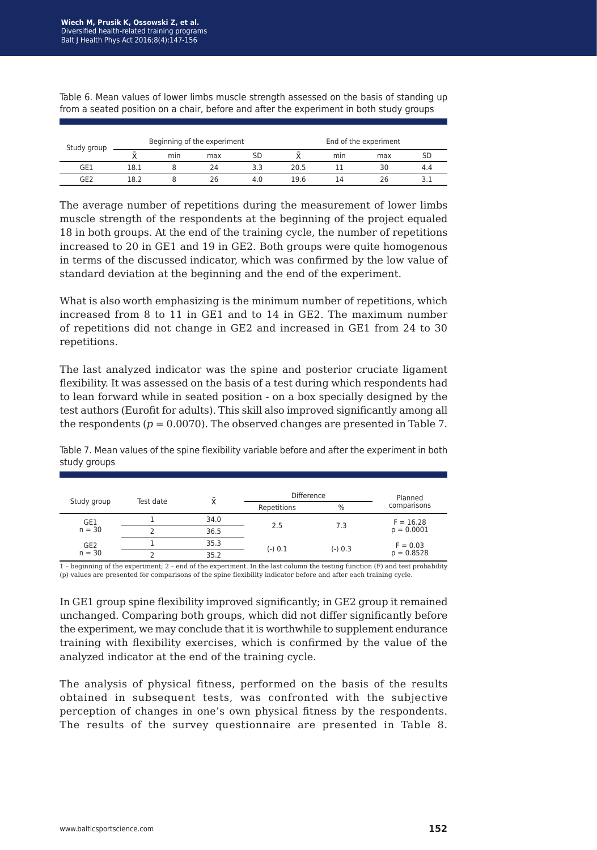| Study group |      | Beginning of the experiment |     |     |      |     | End of the experiment |     |
|-------------|------|-----------------------------|-----|-----|------|-----|-----------------------|-----|
|             |      | mın                         | max | SD  |      | min | max                   |     |
| GE1         | 18.1 |                             | 24  | 3.3 | 20.5 |     | 30                    | 4.4 |
| GE2         | 18.2 |                             | 26  | 4.0 | 19.6 | 14  | 26                    |     |

Table 6. Mean values of lower limbs muscle strength assessed on the basis of standing up from a seated position on a chair, before and after the experiment in both study groups

The average number of repetitions during the measurement of lower limbs muscle strength of the respondents at the beginning of the project equaled 18 in both groups. At the end of the training cycle, the number of repetitions increased to 20 in GE1 and 19 in GE2. Both groups were quite homogenous in terms of the discussed indicator, which was confirmed by the low value of standard deviation at the beginning and the end of the experiment.

What is also worth emphasizing is the minimum number of repetitions, which increased from 8 to 11 in GE1 and to 14 in GE2. The maximum number of repetitions did not change in GE2 and increased in GE1 from 24 to 30 repetitions.

The last analyzed indicator was the spine and posterior cruciate ligament flexibility. It was assessed on the basis of a test during which respondents had to lean forward while in seated position - on a box specially designed by the test authors (Eurofit for adults). This skill also improved significantly among all the respondents ( $p = 0.0070$ ). The observed changes are presented in Table 7.

Table 7. Mean values of the spine flexibility variable before and after the experiment in both study groups

|                 | Test date | $\bar{\mathsf{x}}$ | <b>Difference</b> |               | Planned      |  |
|-----------------|-----------|--------------------|-------------------|---------------|--------------|--|
| Study group     |           |                    | Repetitions       | $\frac{0}{0}$ | comparisons  |  |
| GE1             |           | 34.0               | 2.5               |               | $F = 16.28$  |  |
| $n = 30$        |           | 36.5               |                   | 7.3           | $p = 0.0001$ |  |
| GE <sub>2</sub> |           | 35.3               | $(-) 0.1$         | $(-) 0.3$     | $F = 0.03$   |  |
| $n = 30$        |           | 35.2               |                   |               | $p = 0.8528$ |  |

1 – beginning of the experiment; 2 – end of the experiment. In the last column the testing function (F) and test probability (p) values are presented for comparisons of the spine flexibility indicator before and after each training cycle.

In GE1 group spine flexibility improved significantly; in GE2 group it remained unchanged. Comparing both groups, which did not differ significantly before the experiment, we may conclude that it is worthwhile to supplement endurance training with flexibility exercises, which is confirmed by the value of the analyzed indicator at the end of the training cycle.

The analysis of physical fitness, performed on the basis of the results obtained in subsequent tests, was confronted with the subjective perception of changes in one's own physical fitness by the respondents. The results of the survey questionnaire are presented in Table 8.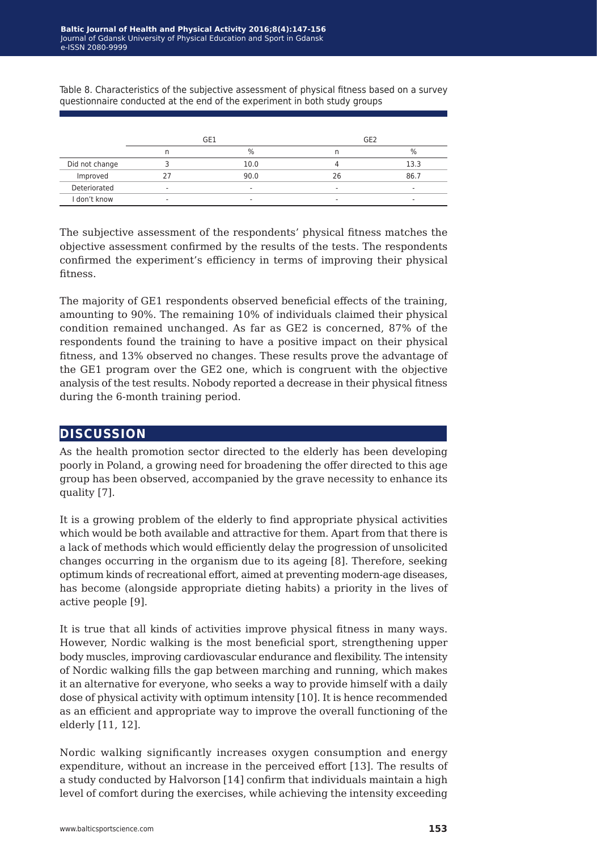Table 8. Characteristics of the subjective assessment of physical fitness based on a survey questionnaire conducted at the end of the experiment in both study groups

|                | GE1                      |               | GE <sub>2</sub>          |      |
|----------------|--------------------------|---------------|--------------------------|------|
|                |                          | $\frac{0}{0}$ |                          | %    |
| Did not change |                          | 10.0          |                          | 13.3 |
| Improved       |                          | 90.0          | 26                       | 86.7 |
| Deteriorated   | $\overline{\phantom{a}}$ | ۰             | -                        |      |
| I don't know   |                          | -             | $\overline{\phantom{a}}$ |      |

The subjective assessment of the respondents' physical fitness matches the objective assessment confirmed by the results of the tests. The respondents confirmed the experiment's efficiency in terms of improving their physical fitness.

The majority of GE1 respondents observed beneficial effects of the training, amounting to 90%. The remaining 10% of individuals claimed their physical condition remained unchanged. As far as GE2 is concerned, 87% of the respondents found the training to have a positive impact on their physical fitness, and 13% observed no changes. These results prove the advantage of the GE1 program over the GE2 one, which is congruent with the objective analysis of the test results. Nobody reported a decrease in their physical fitness during the 6-month training period.

#### **discussion**

As the health promotion sector directed to the elderly has been developing poorly in Poland, a growing need for broadening the offer directed to this age group has been observed, accompanied by the grave necessity to enhance its quality [7].

It is a growing problem of the elderly to find appropriate physical activities which would be both available and attractive for them. Apart from that there is a lack of methods which would efficiently delay the progression of unsolicited changes occurring in the organism due to its ageing [8]. Therefore, seeking optimum kinds of recreational effort, aimed at preventing modern-age diseases, has become (alongside appropriate dieting habits) a priority in the lives of active people [9].

It is true that all kinds of activities improve physical fitness in many ways. However, Nordic walking is the most beneficial sport, strengthening upper body muscles, improving cardiovascular endurance and flexibility. The intensity of Nordic walking fills the gap between marching and running, which makes it an alternative for everyone, who seeks a way to provide himself with a daily dose of physical activity with optimum intensity [10]. It is hence recommended as an efficient and appropriate way to improve the overall functioning of the elderly [11, 12].

Nordic walking significantly increases oxygen consumption and energy expenditure, without an increase in the perceived effort [13]. The results of a study conducted by Halvorson [14] confirm that individuals maintain a high level of comfort during the exercises, while achieving the intensity exceeding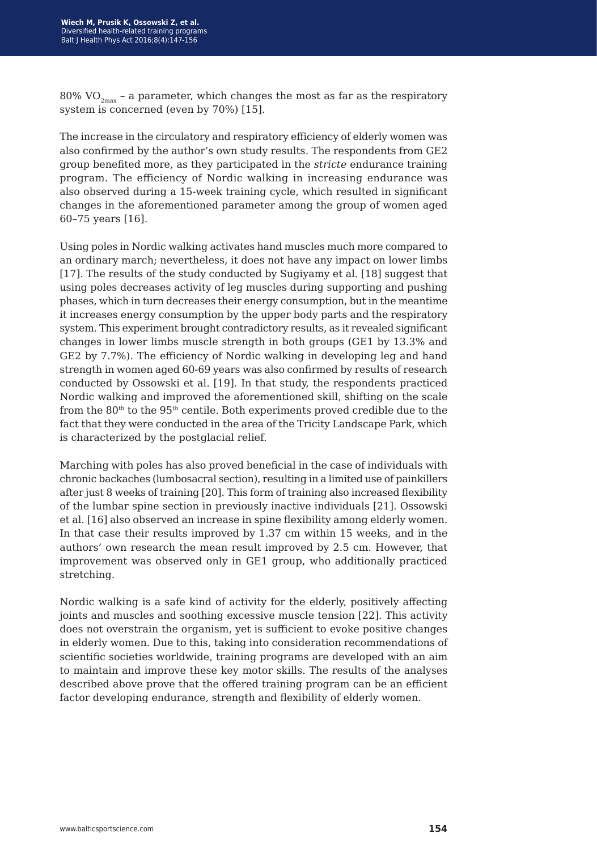80% VO<sub>2max</sub> - a parameter, which changes the most as far as the respiratory system is concerned (even by 70%) [15].

The increase in the circulatory and respiratory efficiency of elderly women was also confirmed by the author's own study results. The respondents from GE2 group benefited more, as they participated in the *stricte* endurance training program. The efficiency of Nordic walking in increasing endurance was also observed during a 15-week training cycle, which resulted in significant changes in the aforementioned parameter among the group of women aged 60–75 years [16].

Using poles in Nordic walking activates hand muscles much more compared to an ordinary march; nevertheless, it does not have any impact on lower limbs [17]. The results of the study conducted by Sugiyamy et al. [18] suggest that using poles decreases activity of leg muscles during supporting and pushing phases, which in turn decreases their energy consumption, but in the meantime it increases energy consumption by the upper body parts and the respiratory system. This experiment brought contradictory results, as it revealed significant changes in lower limbs muscle strength in both groups (GE1 by 13.3% and GE2 by 7.7%). The efficiency of Nordic walking in developing leg and hand strength in women aged 60-69 years was also confirmed by results of research conducted by Ossowski et al. [19]. In that study, the respondents practiced Nordic walking and improved the aforementioned skill, shifting on the scale from the  $80<sup>th</sup>$  to the 95<sup>th</sup> centile. Both experiments proved credible due to the fact that they were conducted in the area of the Tricity Landscape Park, which is characterized by the postglacial relief.

Marching with poles has also proved beneficial in the case of individuals with chronic backaches (lumbosacral section), resulting in a limited use of painkillers after just 8 weeks of training [20]. This form of training also increased flexibility of the lumbar spine section in previously inactive individuals [21]. Ossowski et al. [16] also observed an increase in spine flexibility among elderly women. In that case their results improved by 1.37 cm within 15 weeks, and in the authors' own research the mean result improved by 2.5 cm. However, that improvement was observed only in GE1 group, who additionally practiced stretching.

Nordic walking is a safe kind of activity for the elderly, positively affecting joints and muscles and soothing excessive muscle tension [22]. This activity does not overstrain the organism, yet is sufficient to evoke positive changes in elderly women. Due to this, taking into consideration recommendations of scientific societies worldwide, training programs are developed with an aim to maintain and improve these key motor skills. The results of the analyses described above prove that the offered training program can be an efficient factor developing endurance, strength and flexibility of elderly women.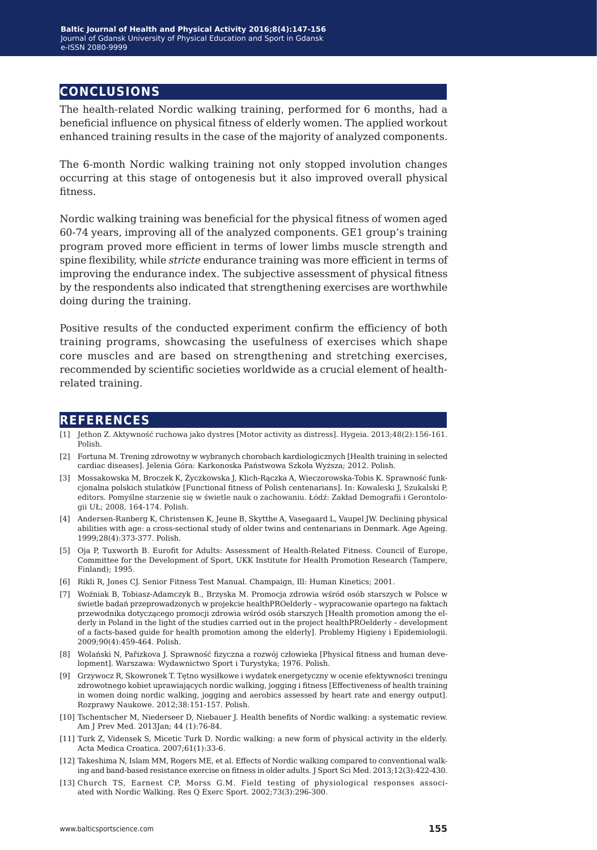### **conclusions**

The health-related Nordic walking training, performed for 6 months, had a beneficial influence on physical fitness of elderly women. The applied workout enhanced training results in the case of the majority of analyzed components.

The 6-month Nordic walking training not only stopped involution changes occurring at this stage of ontogenesis but it also improved overall physical fitness.

Nordic walking training was beneficial for the physical fitness of women aged 60-74 years, improving all of the analyzed components. GE1 group's training program proved more efficient in terms of lower limbs muscle strength and spine flexibility, while *stricte* endurance training was more efficient in terms of improving the endurance index. The subjective assessment of physical fitness by the respondents also indicated that strengthening exercises are worthwhile doing during the training.

Positive results of the conducted experiment confirm the efficiency of both training programs, showcasing the usefulness of exercises which shape core muscles and are based on strengthening and stretching exercises, recommended by scientific societies worldwide as a crucial element of healthrelated training.

#### **references**

- [1] Jethon Z. Aktywność ruchowa jako dystres [Motor activity as distress]. Hygeia. 2013;48(2):156-161. Polish.
- [2] Fortuna M. Trening zdrowotny w wybranych chorobach kardiologicznych [Health training in selected cardiac diseases]. Jelenia Góra: Karkonoska Państwowa Szkoła Wyższa; 2012. Polish.
- [3] Mossakowska M, Broczek K, Życzkowska J, Klich-Rączka A, Wieczorowska-Tobis K. Sprawność funkcjonalna polskich stulatków [Functional fitness of Polish centenarians]. In: Kowaleski J, Szukalski P, editors. Pomyślne starzenie się w świetle nauk o zachowaniu. Łódź: Zakład Demografii i Gerontologii UŁ; 2008, 164-174. Polish.
- [4] Andersen-Ranberg K, Christensen K, Jeune B, Skytthe A, Vasegaard L, Vaupel JW. Declining physical abilities with age: a cross-sectional study of older twins and centenarians in Denmark. Age Ageing. 1999;28(4):373-377. Polish.
- [5] Oja P, Tuxworth B. Eurofit for Adults: Assessment of Health-Related Fitness. Council of Europe, Committee for the Development of Sport, UKK Institute for Health Promotion Research (Tampere, Finland); 1995.
- [6] Rikli R, Jones CJ. Senior Fitness Test Manual. Champaign, Ill: Human Kinetics; 2001.
- [7] Woźniak B, Tobiasz-Adamczyk B., Brzyska M. Promocja zdrowia wśród osób starszych w Polsce w świetle badań przeprowadzonych w projekcie healthPROelderly – wypracowanie opartego na faktach przewodnika dotyczącego promocji zdrowia wśród osób starszych [Health promotion among the elderly in Poland in the light of the studies carried out in the project healthPROelderly – development of a facts-based guide for health promotion among the elderly]. Problemy Higieny i Epidemiologii. 2009;90(4):459-464. Polish.
- [8] Wolański N, Pařizkova J. Sprawność fizyczna a rozwój człowieka [Physical fitness and human development]. Warszawa: Wydawnictwo Sport i Turystyka; 1976. Polish.
- [9] Grzywocz R, Skowronek T. Tętno wysiłkowe i wydatek energetyczny w ocenie efektywności treningu zdrowotnego kobiet uprawiających nordic walking, jogging i fitness [Effectiveness of health training in women doing nordic walking, jogging and aerobics assessed by heart rate and energy output]. Rozprawy Naukowe. 2012;38:151-157. Polish.
- [10] Tschentscher M, Niederseer D, Niebauer J. Health benefits of Nordic walking: a systematic review. Am J Prev Med. 2013Jan; 44 (1):76-84.
- [11] Turk Z, Vidensek S, Micetic Turk D. Nordic walking: a new form of physical activity in the elderly. Acta Medica Croatica. 2007;61(1):33-6.
- [12] Takeshima N, Islam MM, Rogers ME, et al. Effects of Nordic walking compared to conventional walking and band-based resistance exercise on fitness in older adults. J Sport Sci Med. 2013;12(3):422-430.
- [13] Church TS, Earnest CP, Morss G.M. Field testing of physiological responses associated with Nordic Walking. Res Q Exerc Sport. 2002;73(3):296-300.